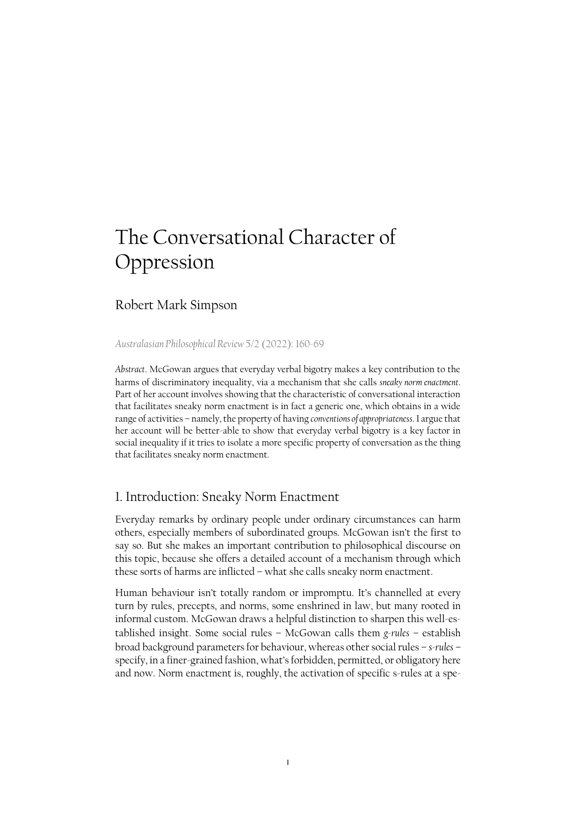# The Conversational Character of Oppression

# Robert Mark Simpson

#### *[Australasian Philosophical Review](https://www.tandfonline.com/doi/full/10.1080/24740500.2021.2012099)* 5/2 (2022): 160-69

*Abstract*. McGowan argues that everyday verbal bigotry makes a key contribution to the harms of discriminatory inequality, via a mechanism that she calls *sneaky norm enactment*. Part of her account involves showing that the characteristic of conversational interaction that facilitates sneaky norm enactment is in fact a generic one, which obtains in a wide range of activities – namely, the property of having *conventions of appropriateness*. I argue that her account will be better-able to show that everyday verbal bigotry is a key factor in social inequality if it tries to isolate a more specific property of conversation as the thing that facilitates sneaky norm enactment.

### 1. Introduction: Sneaky Norm Enactment

Everyday remarks by ordinary people under ordinary circumstances can harm others, especially members of subordinated groups. McGowan isn't the first to say so. But she makes an important contribution to philosophical discourse on this topic, because she offers a detailed account of a mechanism through which these sorts of harms are inflicted – what she calls sneaky norm enactment.

Human behaviour isn't totally random or impromptu. It's channelled at every turn by rules, precepts, and norms, some enshrined in law, but many rooted in informal custom. McGowan draws a helpful distinction to sharpen this well-established insight. Some social rules – McGowan calls them *g-rules* – establish broad background parameters for behaviour, whereas other social rules – *s-rules* – specify, in a finer-grained fashion, what's forbidden, permitted, or obligatory here and now. Norm enactment is, roughly, the activation of specific s-rules at a spe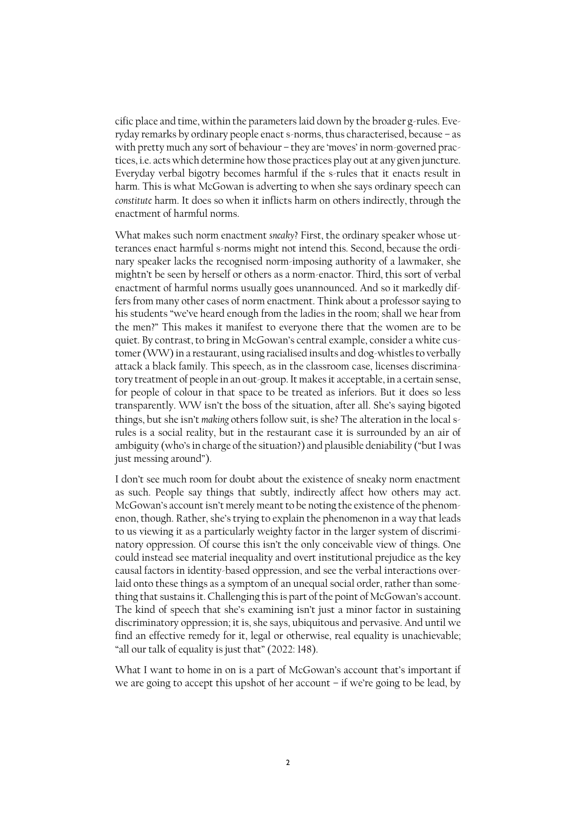cific place and time, within the parameters laid down by the broader g-rules. Everyday remarks by ordinary people enact s-norms, thus characterised, because – as with pretty much any sort of behaviour – they are 'moves' in norm-governed practices, i.e. acts which determine how those practices play out at any given juncture. Everyday verbal bigotry becomes harmful if the s-rules that it enacts result in harm. This is what McGowan is adverting to when she says ordinary speech can *constitute* harm. It does so when it inflicts harm on others indirectly, through the enactment of harmful norms.

What makes such norm enactment *sneaky*? First, the ordinary speaker whose utterances enact harmful s-norms might not intend this. Second, because the ordinary speaker lacks the recognised norm-imposing authority of a lawmaker, she mightn't be seen by herself or others as a norm-enactor. Third, this sort of verbal enactment of harmful norms usually goes unannounced. And so it markedly differs from many other cases of norm enactment. Think about a professor saying to his students "we've heard enough from the ladies in the room; shall we hear from the men?" This makes it manifest to everyone there that the women are to be quiet. By contrast, to bring in McGowan's central example, consider a white customer (WW) in a restaurant, using racialised insults and dog-whistles to verbally attack a black family. This speech, as in the classroom case, licenses discriminatory treatment of people in an out-group. It makes it acceptable, in a certain sense, for people of colour in that space to be treated as inferiors. But it does so less transparently. WW isn't the boss of the situation, after all. She's saying bigoted things, but she isn't *making* others follow suit, is she? The alteration in the local srules is a social reality, but in the restaurant case it is surrounded by an air of ambiguity (who's in charge of the situation?) and plausible deniability ("but I was just messing around").

I don't see much room for doubt about the existence of sneaky norm enactment as such. People say things that subtly, indirectly affect how others may act. McGowan's account isn't merely meant to be noting the existence of the phenomenon, though. Rather, she's trying to explain the phenomenon in a way that leads to us viewing it as a particularly weighty factor in the larger system of discriminatory oppression. Of course this isn't the only conceivable view of things. One could instead see material inequality and overt institutional prejudice as the key causal factors in identity-based oppression, and see the verbal interactions overlaid onto these things as a symptom of an unequal social order, rather than something that sustains it. Challenging this is part of the point of McGowan's account. The kind of speech that she's examining isn't just a minor factor in sustaining discriminatory oppression; it is, she says, ubiquitous and pervasive. And until we find an effective remedy for it, legal or otherwise, real equality is unachievable; "all our talk of equality is just that" (2022: 148).

What I want to home in on is a part of McGowan's account that's important if we are going to accept this upshot of her account – if we're going to be lead, by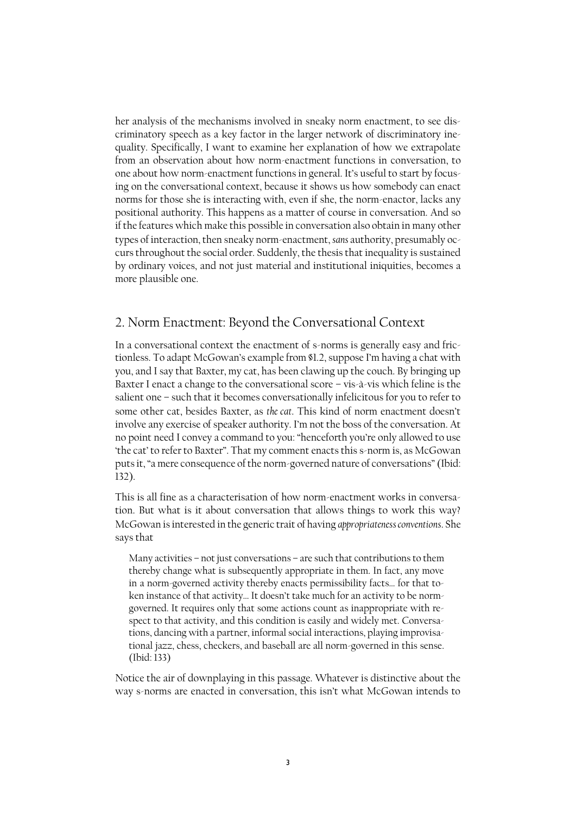her analysis of the mechanisms involved in sneaky norm enactment, to see discriminatory speech as a key factor in the larger network of discriminatory inequality. Specifically, I want to examine her explanation of how we extrapolate from an observation about how norm-enactment functions in conversation, to one about how norm-enactment functions in general. It's useful to start by focusing on the conversational context, because it shows us how somebody can enact norms for those she is interacting with, even if she, the norm-enactor, lacks any positional authority. This happens as a matter of course in conversation. And so if the features which make this possible in conversation also obtain in many other types of interaction, then sneaky norm-enactment, *sans* authority, presumably occurs throughout the social order. Suddenly, the thesisthat inequality is sustained by ordinary voices, and not just material and institutional iniquities, becomes a more plausible one.

### 2. Norm Enactment: Beyond the Conversational Context

In a conversational context the enactment of s-norms is generally easy and frictionless. To adapt McGowan's example from §1.2, suppose I'm having a chat with you, and I say that Baxter, my cat, has been clawing up the couch. By bringing up Baxter I enact a change to the conversational score – vis-à-vis which feline is the salient one – such that it becomes conversationally infelicitous for you to refer to some other cat, besides Baxter, as *the cat*. This kind of norm enactment doesn't involve any exercise of speaker authority. I'm not the boss of the conversation. At no point need I convey a command to you: "henceforth you're only allowed to use 'the cat' to refer to Baxter". That my comment enacts this s-norm is, as McGowan puts it, "a mere consequence of the norm-governed nature of conversations" (Ibid: 132).

This is all fine as a characterisation of how norm-enactment works in conversation. But what is it about conversation that allows things to work this way? McGowan is interested in the generic trait of having *appropriateness conventions*. She says that

Many activities – not just conversations – are such that contributions to them thereby change what is subsequently appropriate in them. In fact, any move in a norm-governed activity thereby enacts permissibility facts… for that token instance of that activity… It doesn't take much for an activity to be normgoverned. It requires only that some actions count as inappropriate with respect to that activity, and this condition is easily and widely met. Conversations, dancing with a partner, informal social interactions, playing improvisational jazz, chess, checkers, and baseball are all norm-governed in this sense. (Ibid: 133)

Notice the air of downplaying in this passage. Whatever is distinctive about the way s-norms are enacted in conversation, this isn't what McGowan intends to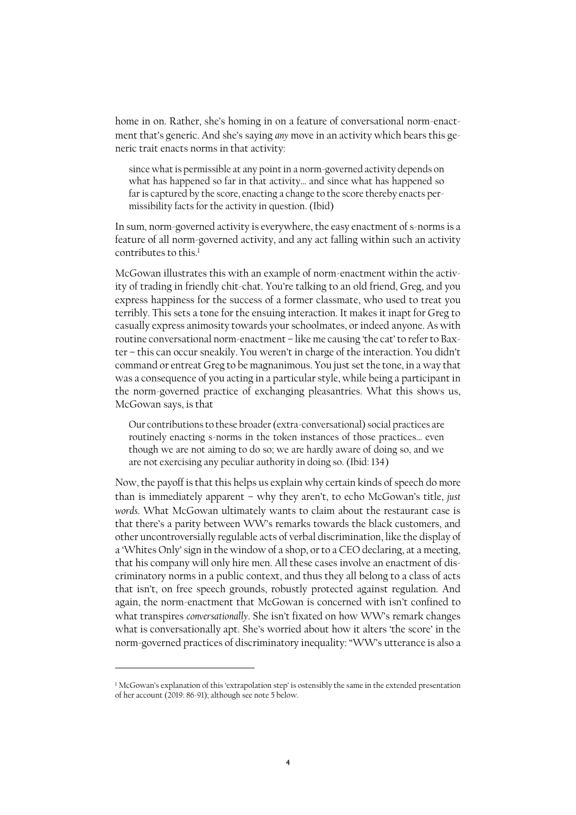home in on. Rather, she's homing in on a feature of conversational norm-enactment that's generic. And she's saying *any* move in an activity which bears this generic trait enacts norms in that activity:

since what is permissible at any point in a norm-governed activity depends on what has happened so far in that activity… and since what has happened so far is captured by the score, enacting a change to the score thereby enacts permissibility facts for the activity in question. (Ibid)

In sum, norm-governed activity is everywhere, the easy enactment of s-norms is a feature of all norm-governed activity, and any act falling within such an activity contributes to this.<sup>1</sup>

McGowan illustrates this with an example of norm-enactment within the activity of trading in friendly chit-chat. You're talking to an old friend, Greg, and you express happiness for the success of a former classmate, who used to treat you terribly. This sets a tone for the ensuing interaction. It makes it inapt for Greg to casually express animosity towards your schoolmates, or indeed anyone. As with routine conversational norm-enactment – like me causing 'the cat' to refer to Baxter – this can occur sneakily. You weren't in charge of the interaction. You didn't command or entreat Greg to be magnanimous. You just set the tone, in a way that was a consequence of you acting in a particular style, while being a participant in the norm-governed practice of exchanging pleasantries. What this shows us, McGowan says, is that

Our contributions to these broader (extra-conversational) social practices are routinely enacting s-norms in the token instances of those practices… even though we are not aiming to do so; we are hardly aware of doing so, and we are not exercising any peculiar authority in doing so. (Ibid: 134)

Now, the payoff is that this helps us explain why certain kinds of speech do more than is immediately apparent – why they aren't, to echo McGowan's title, *just words*. What McGowan ultimately wants to claim about the restaurant case is that there's a parity between WW's remarks towards the black customers, and other uncontroversially regulable acts of verbal discrimination, like the display of a 'Whites Only' sign in the window of a shop, or to a CEO declaring, at a meeting, that his company will only hire men. All these cases involve an enactment of discriminatory norms in a public context, and thus they all belong to a class of acts that isn't, on free speech grounds, robustly protected against regulation. And again, the norm-enactment that McGowan is concerned with isn't confined to what transpires *conversationally*. She isn't fixated on how WW's remark changes what is conversationally apt. She's worried about how it alters 'the score' in the norm-governed practices of discriminatory inequality: "WW's utterance is also a

 $\overline{a}$ 

<sup>&</sup>lt;sup>1</sup> McGowan's explanation of this 'extrapolation step' is ostensibly the same in the extended presentation of her account (2019: 86-91); although see note 5 below.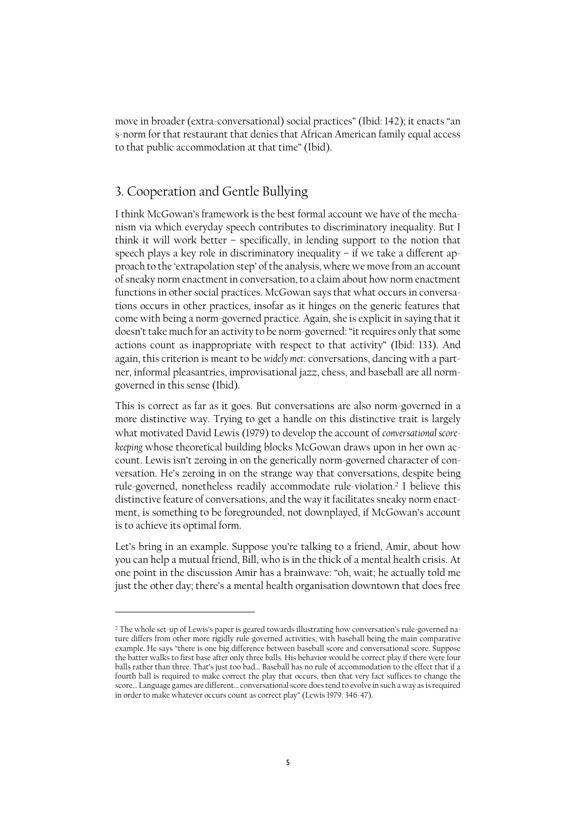move in broader (extra-conversational) social practices" (Ibid: 142); it enacts "an s-norm for that restaurant that denies that African American family equal access to that public accommodation at that time" (Ibid).

# 3. Cooperation and Gentle Bullying

 $\overline{\phantom{a}}$ 

I think McGowan's framework is the best formal account we have of the mechanism via which everyday speech contributes to discriminatory inequality. But I think it will work better – specifically, in lending support to the notion that speech plays a key role in discriminatory inequality – if we take a different approach to the 'extrapolation step' of the analysis, where we move from an account of sneaky norm enactment in conversation, to a claim about how norm enactment functions in other social practices. McGowan says that what occurs in conversations occurs in other practices, insofar as it hinges on the generic features that come with being a norm-governed practice. Again, she is explicit in saying that it doesn't take much for an activity to be norm-governed: "it requires only that some actions count as inappropriate with respect to that activity" (Ibid: 133). And again, this criterion is meant to be *widely met*: conversations, dancing with a partner, informal pleasantries, improvisational jazz, chess, and baseball are all normgoverned in this sense (Ibid).

This is correct as far as it goes. But conversations are also norm-governed in a more distinctive way. Trying to get a handle on this distinctive trait is largely what motivated David Lewis (1979) to develop the account of *conversational scorekeeping* whose theoretical building blocks McGowan draws upon in her own account. Lewis isn't zeroing in on the generically norm-governed character of conversation. He's zeroing in on the strange way that conversations, despite being rule-governed, nonetheless readily accommodate rule-violation. 2 I believe this distinctive feature of conversations, and the way it facilitates sneaky norm enactment, is something to be foregrounded, not downplayed, if McGowan's account is to achieve its optimal form.

Let's bring in an example. Suppose you're talking to a friend, Amir, about how you can help a mutual friend, Bill, who is in the thick of a mental health crisis. At one point in the discussion Amir has a brainwave: "oh, wait; he actually told me just the other day; there's a mental health organisation downtown that does free

<sup>&</sup>lt;sup>2</sup> The whole set-up of Lewis's paper is geared towards illustrating how conversation's rule-governed nature differs from other more rigidly rule-governed activities, with baseball being the main comparative example. He says "there is one big difference between baseball score and conversational score. Suppose the batter walks to first base after only three balls. His behavior would be correct play if there were four balls rather than three. That's just too bad… Baseball has no rule of accommodation to the effect that if a fourth ball is required to make correct the play that occurs, then that very fact suffices to change the score… Language games are different… conversational score does tend to evolve in such a way as is required in order to make whatever occurs count as correct play" (Lewis 1979: 346-47).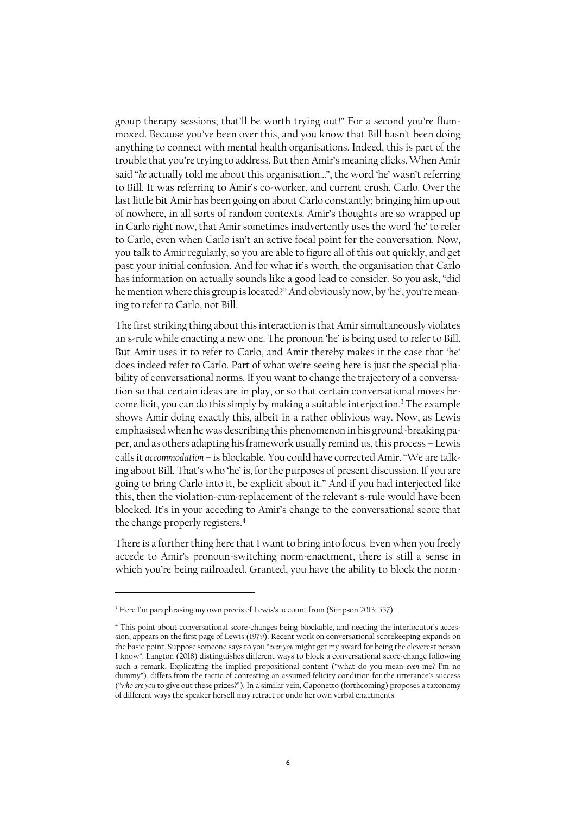group therapy sessions; that'll be worth trying out!" For a second you're flummoxed. Because you've been over this, and you know that Bill hasn't been doing anything to connect with mental health organisations. Indeed, this is part of the trouble that you're trying to address. But then Amir's meaning clicks. When Amir said "*he* actually told me about this organisation…", the word 'he' wasn't referring to Bill. It was referring to Amir's co-worker, and current crush, Carlo. Over the last little bit Amir has been going on about Carlo constantly; bringing him up out of nowhere, in all sorts of random contexts. Amir's thoughts are so wrapped up in Carlo right now, that Amir sometimes inadvertently uses the word 'he' to refer to Carlo, even when Carlo isn't an active focal point for the conversation. Now, you talk to Amir regularly, so you are able to figure all of this out quickly, and get past your initial confusion. And for what it's worth, the organisation that Carlo has information on actually sounds like a good lead to consider. So you ask, "did he mention where this group is located?" And obviously now, by 'he', you're meaning to refer to Carlo, not Bill.

The first striking thing about this interaction is that Amir simultaneously violates an s-rule while enacting a new one. The pronoun 'he' is being used to refer to Bill. But Amir uses it to refer to Carlo, and Amir thereby makes it the case that 'he' does indeed refer to Carlo. Part of what we're seeing here is just the special pliability of conversational norms. If you want to change the trajectory of a conversation so that certain ideas are in play, or so that certain conversational moves become licit, you can do this simply by making a suitable interjection.<sup>3</sup> The example shows Amir doing exactly this, albeit in a rather oblivious way. Now, as Lewis emphasised when he was describing this phenomenon in his ground-breaking paper, and as others adapting his framework usually remind us, this process – Lewis calls it *accommodation* – is blockable. You could have corrected Amir. "We are talking about Bill. That's who 'he' is, for the purposes of present discussion. If you are going to bring Carlo into it, be explicit about it." And if you had interjected like this, then the violation-cum-replacement of the relevant s-rule would have been blocked. It's in your acceding to Amir's change to the conversational score that the change properly registers.<sup>4</sup>

There is a further thing here that I want to bring into focus. Even when you freely accede to Amir's pronoun-switching norm-enactment, there is still a sense in which you're being railroaded. Granted, you have the ability to block the norm-

 $\overline{\phantom{a}}$ 

<sup>&</sup>lt;sup>3</sup> Here I'm paraphrasing my own precis of Lewis's account from (Simpson 2013: 557)

<sup>4</sup> This point about conversational score-changes being blockable, and needing the interlocutor's accession, appears on the first page of Lewis (1979). Recent work on conversational scorekeeping expands on the basic point. Suppose someone says to you "*even you* might get my award for being the cleverest person I know". Langton (2018) distinguishes different ways to block a conversational score-change following such a remark. Explicating the implied propositional content ("what do you mean *even* me? I'm no dummy"), differs from the tactic of contesting an assumed felicity condition for the utterance's success ("*who are you* to give out these prizes?"). In a similar vein, Caponetto (forthcoming) proposes a taxonomy of different ways the speaker herself may retract or undo her own verbal enactments.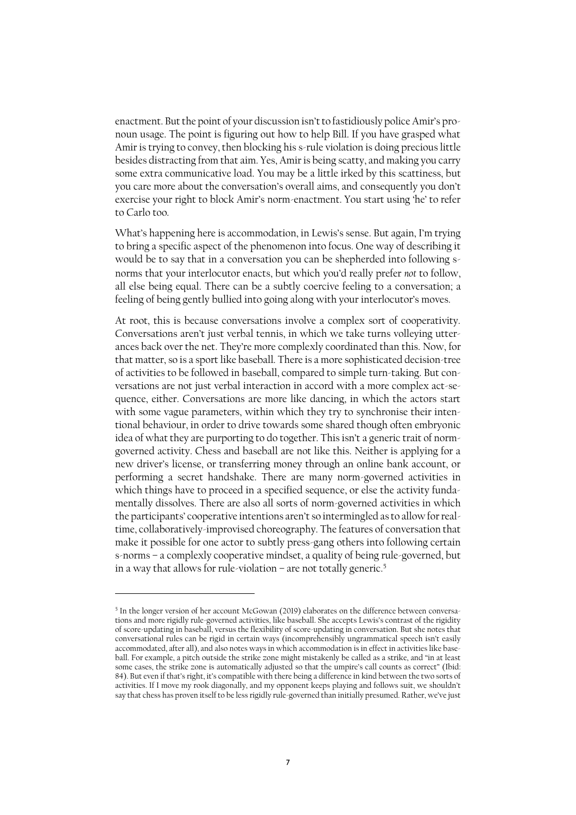enactment. But the point of your discussion isn't to fastidiously police Amir's pronoun usage. The point is figuring out how to help Bill. If you have grasped what Amir is trying to convey, then blocking his s-rule violation is doing precious little besides distracting from that aim. Yes, Amir is being scatty, and making you carry some extra communicative load. You may be a little irked by this scattiness, but you care more about the conversation's overall aims, and consequently you don't exercise your right to block Amir's norm-enactment. You start using 'he' to refer to Carlo too.

What's happening here is accommodation, in Lewis's sense. But again, I'm trying to bring a specific aspect of the phenomenon into focus. One way of describing it would be to say that in a conversation you can be shepherded into following snorms that your interlocutor enacts, but which you'd really prefer *not* to follow, all else being equal. There can be a subtly coercive feeling to a conversation; a feeling of being gently bullied into going along with your interlocutor's moves.

At root, this is because conversations involve a complex sort of cooperativity. Conversations aren't just verbal tennis, in which we take turns volleying utterances back over the net. They're more complexly coordinated than this. Now, for that matter, so is a sport like baseball. There is a more sophisticated decision-tree of activities to be followed in baseball, compared to simple turn-taking. But conversations are not just verbal interaction in accord with a more complex act-sequence, either. Conversations are more like dancing, in which the actors start with some vague parameters, within which they try to synchronise their intentional behaviour, in order to drive towards some shared though often embryonic idea of what they are purporting to do together. This isn't a generic trait of normgoverned activity. Chess and baseball are not like this. Neither is applying for a new driver's license, or transferring money through an online bank account, or performing a secret handshake. There are many norm-governed activities in which things have to proceed in a specified sequence, or else the activity fundamentally dissolves. There are also all sorts of norm-governed activities in which the participants' cooperative intentions aren't so intermingled as to allow for realtime, collaboratively-improvised choreography. The features of conversation that make it possible for one actor to subtly press-gang others into following certain s-norms – a complexly cooperative mindset, a quality of being rule-governed, but in a way that allows for rule-violation – are not totally generic.<sup>5</sup>

 $\overline{a}$ 

<sup>5</sup> In the longer version of her account McGowan (2019) elaborates on the difference between conversations and more rigidly rule-governed activities, like baseball. She accepts Lewis's contrast of the rigidity of score-updating in baseball, versus the flexibility of score-updating in conversation. But she notes that conversational rules can be rigid in certain ways (incomprehensibly ungrammatical speech isn't easily accommodated, after all), and also notes ways in which accommodation isin effect in activities like baseball. For example, a pitch outside the strike zone might mistakenly be called as a strike, and "in at least some cases, the strike zone is automatically adjusted so that the umpire's call counts as correct" (Ibid: 84). But even if that's right, it's compatible with there being a difference in kind between the two sorts of activities. If I move my rook diagonally, and my opponent keeps playing and follows suit, we shouldn't say that chess has proven itself to be less rigidly rule-governed than initially presumed. Rather, we've just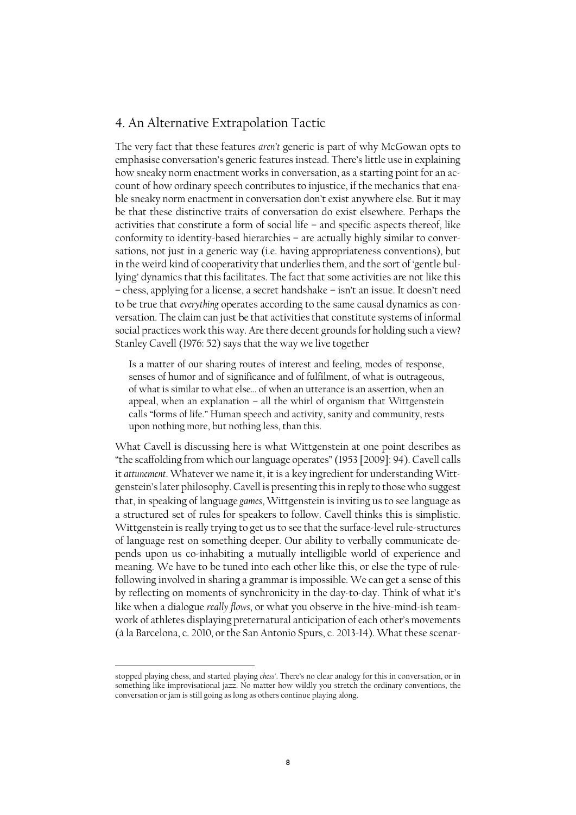# 4. An Alternative Extrapolation Tactic

The very fact that these features *aren't* generic is part of why McGowan opts to emphasise conversation's generic features instead. There's little use in explaining how sneaky norm enactment works in conversation, as a starting point for an account of how ordinary speech contributes to injustice, if the mechanics that enable sneaky norm enactment in conversation don't exist anywhere else. But it may be that these distinctive traits of conversation do exist elsewhere. Perhaps the activities that constitute a form of social life – and specific aspects thereof, like conformity to identity-based hierarchies – are actually highly similar to conversations, not just in a generic way (i.e. having appropriateness conventions), but in the weird kind of cooperativity that underlies them, and the sort of 'gentle bullying' dynamics that this facilitates. The fact that some activities are not like this – chess, applying for a license, a secret handshake – isn't an issue. It doesn't need to be true that *everything* operates according to the same causal dynamics as conversation. The claim can just be that activities that constitute systems of informal social practices work this way. Are there decent grounds for holding such a view? Stanley Cavell (1976: 52) says that the way we live together

Is a matter of our sharing routes of interest and feeling, modes of response, senses of humor and of significance and of fulfilment, of what is outrageous, of what is similar to what else… of when an utterance is an assertion, when an appeal, when an explanation – all the whirl of organism that Wittgenstein calls "forms of life." Human speech and activity, sanity and community, rests upon nothing more, but nothing less, than this.

What Cavell is discussing here is what Wittgenstein at one point describes as "the scaffolding from which our language operates" (1953 [2009]: 94). Cavell calls it *attunement*. Whatever we name it, it is a key ingredient for understanding Wittgenstein's later philosophy. Cavell is presenting this in reply to those who suggest that, in speaking of language *games*, Wittgenstein is inviting us to see language as a structured set of rules for speakers to follow. Cavell thinks this is simplistic. Wittgenstein is really trying to get us to see that the surface-level rule-structures of language rest on something deeper. Our ability to verbally communicate depends upon us co-inhabiting a mutually intelligible world of experience and meaning. We have to be tuned into each other like this, or else the type of rulefollowing involved in sharing a grammar is impossible. We can get a sense of this by reflecting on moments of synchronicity in the day-to-day. Think of what it's like when a dialogue *really flows*, or what you observe in the hive-mind-ish teamwork of athletes displaying preternatural anticipation of each other's movements (à la Barcelona, c. 2010, or the San Antonio Spurs, c. 2013-14). What these scenar-

l

stopped playing chess, and started playing *chess'*. There's no clear analogy for this in conversation, or in something like improvisational jazz. No matter how wildly you stretch the ordinary conventions, the conversation or jam is still going as long as others continue playing along.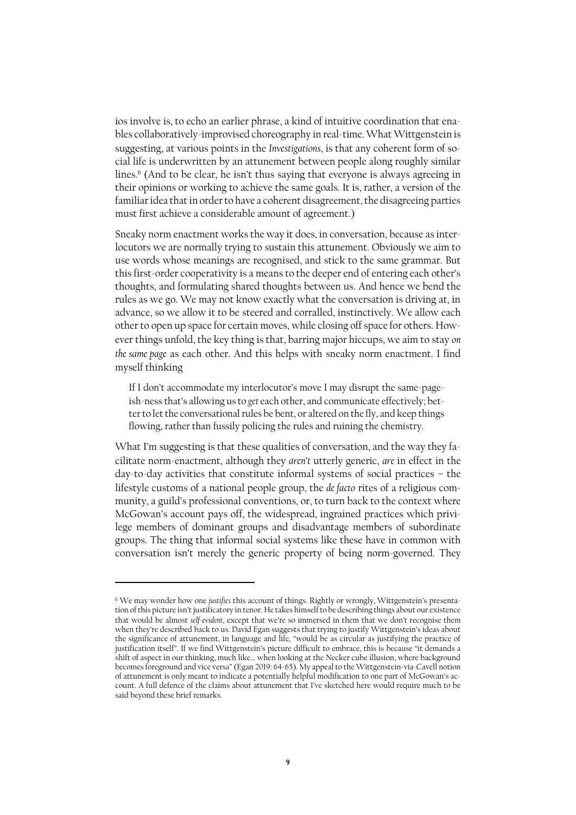ios involve is, to echo an earlier phrase, a kind of intuitive coordination that enables collaboratively-improvised choreography in real-time. What Wittgenstein is suggesting, at various points in the *Investigations*, is that any coherent form of social life is underwritten by an attunement between people along roughly similar lines.<sup>6</sup> (And to be clear, he isn't thus saying that everyone is always agreeing in their opinions or working to achieve the same goals. It is, rather, a version of the familiar idea that in order to have a coherent disagreement, the disagreeing parties must first achieve a considerable amount of agreement.)

Sneaky norm enactment works the way it does, in conversation, because as interlocutors we are normally trying to sustain this attunement. Obviously we aim to use words whose meanings are recognised, and stick to the same grammar. But this first-order cooperativity is a means to the deeper end of entering each other's thoughts, and formulating shared thoughts between us. And hence we bend the rules as we go. We may not know exactly what the conversation is driving at, in advance, so we allow it to be steered and corralled, instinctively. We allow each other to open up space for certain moves, while closing off space for others. However things unfold, the key thing is that, barring major hiccups, we aim to stay *on the same page* as each other. And this helps with sneaky norm enactment. I find myself thinking

If I don't accommodate my interlocutor's move I may disrupt the same-pageish-ness that's allowing us to *get* each other, and communicate effectively; better to let the conversational rules be bent, or altered on the fly, and keep things flowing, rather than fussily policing the rules and ruining the chemistry.

What I'm suggesting is that these qualities of conversation, and the way they facilitate norm-enactment, although they *aren't* utterly generic, *are* in effect in the day-to-day activities that constitute informal systems of social practices – the lifestyle customs of a national people group, the *de facto* rites of a religious community, a guild's professional conventions, or, to turn back to the context where McGowan's account pays off, the widespread, ingrained practices which privilege members of dominant groups and disadvantage members of subordinate groups. The thing that informal social systems like these have in common with conversation isn't merely the generic property of being norm-governed. They

 $\overline{\phantom{a}}$ 

<sup>6</sup> We may wonder how one *justifies* this account of things. Rightly or wrongly, Wittgenstein's presentation of this picture isn't justificatory in tenor. He takes himself to be describing things about our existence that would be almost *self-evident*, except that we're so immersed in them that we don't recognise them when they're described back to us. David Egan suggests that trying to justify Wittgenstein's ideas about the significance of attunement, in language and life, "would be as circular as justifying the practice of justification itself". If we find Wittgenstein's picture difficult to embrace, this is because "it demands a shift of aspect in our thinking, much like… when looking at the Necker cube illusion, where background becomes foreground and vice versa" (Egan 2019: 64-65). My appeal to the Wittgenstein-via-Cavell notion of attunement is only meant to indicate a potentially helpful modification to one part of McGowan's account. A full defence of the claims about attunement that I've sketched here would require much to be said beyond these brief remarks.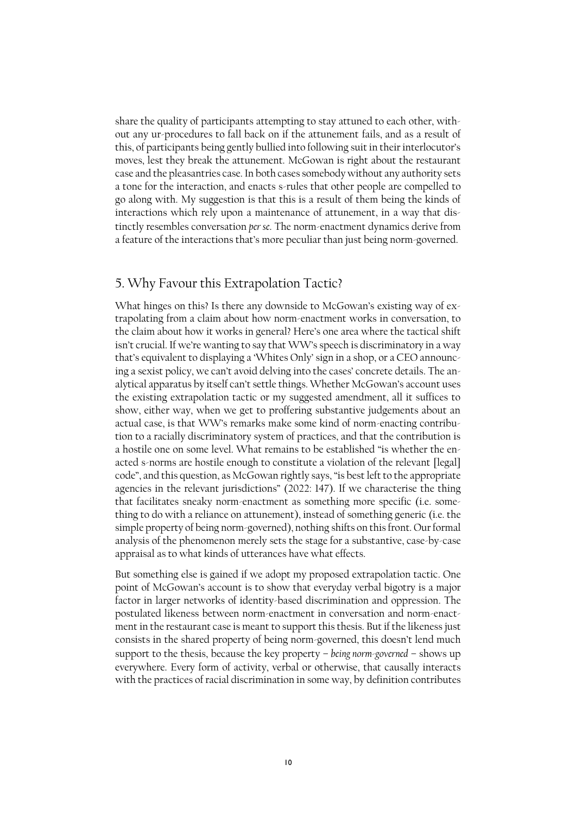share the quality of participants attempting to stay attuned to each other, without any ur-procedures to fall back on if the attunement fails, and as a result of this, of participants being gently bullied into following suit in their interlocutor's moves, lest they break the attunement. McGowan is right about the restaurant case and the pleasantries case. In both cases somebody without any authority sets a tone for the interaction, and enacts s-rules that other people are compelled to go along with. My suggestion is that this is a result of them being the kinds of interactions which rely upon a maintenance of attunement, in a way that distinctly resembles conversation *per se*. The norm-enactment dynamics derive from a feature of the interactions that's more peculiar than just being norm-governed.

# 5. Why Favour this Extrapolation Tactic?

What hinges on this? Is there any downside to McGowan's existing way of extrapolating from a claim about how norm-enactment works in conversation, to the claim about how it works in general? Here's one area where the tactical shift isn't crucial. If we're wanting to say that WW's speech is discriminatory in a way that's equivalent to displaying a 'Whites Only' sign in a shop, or a CEO announcing a sexist policy, we can't avoid delving into the cases' concrete details. The analytical apparatus by itself can't settle things. Whether McGowan's account uses the existing extrapolation tactic or my suggested amendment, all it suffices to show, either way, when we get to proffering substantive judgements about an actual case, is that WW's remarks make some kind of norm-enacting contribution to a racially discriminatory system of practices, and that the contribution is a hostile one on some level. What remains to be established "is whether the enacted s-norms are hostile enough to constitute a violation of the relevant [legal] code", and this question, as McGowan rightly says, "is best left to the appropriate agencies in the relevant jurisdictions" (2022: 147). If we characterise the thing that facilitates sneaky norm-enactment as something more specific (i.e. something to do with a reliance on attunement), instead of something generic (i.e. the simple property of being norm-governed), nothing shifts on this front. Our formal analysis of the phenomenon merely sets the stage for a substantive, case-by-case appraisal as to what kinds of utterances have what effects.

But something else is gained if we adopt my proposed extrapolation tactic. One point of McGowan's account is to show that everyday verbal bigotry is a major factor in larger networks of identity-based discrimination and oppression. The postulated likeness between norm-enactment in conversation and norm-enactment in the restaurant case is meant to support this thesis. But if the likeness just consists in the shared property of being norm-governed, this doesn't lend much support to the thesis, because the key property – *being norm-governed* – shows up everywhere. Every form of activity, verbal or otherwise, that causally interacts with the practices of racial discrimination in some way, by definition contributes